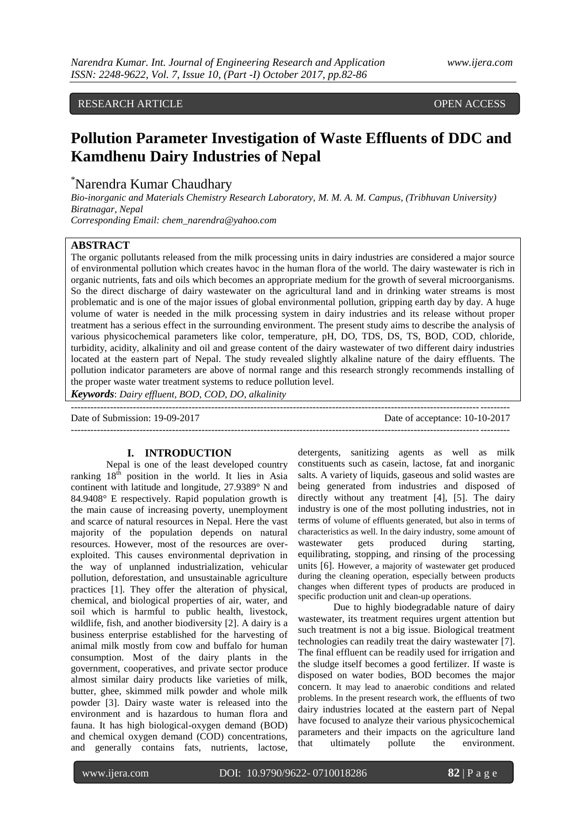RESEARCH ARTICLE **CONSERVERS** OPEN ACCESS

# **Pollution Parameter Investigation of Waste Effluents of DDC and Kamdhenu Dairy Industries of Nepal**

\*Narendra Kumar Chaudhary

*Bio-inorganic and Materials Chemistry Research Laboratory, M. M. A. M. Campus, (Tribhuvan University) Biratnagar, Nepal*

*Corresponding Email: chem\_narendra@yahoo.com*

# **ABSTRACT**

The organic pollutants released from the milk processing units in dairy industries are considered a major source of environmental pollution which creates havoc in the human flora of the world. The dairy wastewater is rich in organic nutrients, fats and oils which becomes an appropriate medium for the growth of several microorganisms. So the direct discharge of dairy wastewater on the agricultural land and in drinking water streams is most problematic and is one of the major issues of global environmental pollution, gripping earth day by day. A huge volume of water is needed in the milk processing system in dairy industries and its release without proper treatment has a serious effect in the surrounding environment. The present study aims to describe the analysis of various physicochemical parameters like color, temperature, pH, DO, TDS, DS, TS, BOD, COD, chloride, turbidity, acidity, alkalinity and oil and grease content of the dairy wastewater of two different dairy industries located at the eastern part of Nepal. The study revealed slightly alkaline nature of the dairy effluents. The pollution indicator parameters are above of normal range and this research strongly recommends installing of the proper waste water treatment systems to reduce pollution level.

*Keywords*: *Dairy effluent, BOD, COD, DO, alkalinity*

-------------------------------------------------------------------------------------------------------------------------------------- Date of Submission: 19-09-2017 Date of acceptance: 10-10-2017 --------------------------------------------------------------------------------------------------------------------------------------

#### **I. INTRODUCTION**

Nepal is one of the least developed country ranking  $18<sup>th</sup>$  position in the world. It lies in Asia continent with latitude and longitude, 27.9389° N and 84.9408° E respectively. Rapid population growth is the main cause of increasing poverty, unemployment and scarce of natural resources in Nepal. Here the vast majority of the population depends on natural resources. However, most of the resources are overexploited. This causes environmental deprivation in the way of unplanned industrialization, vehicular pollution, deforestation, and unsustainable agriculture practices [1]. They offer the alteration of physical, chemical, and biological properties of air, water, and soil which is harmful to public health, livestock, wildlife, fish, and another biodiversity [2]. A dairy is a business enterprise established for the harvesting of animal milk mostly from cow and buffalo for human consumption. Most of the dairy plants in the government, cooperatives, and private sector produce almost similar dairy products like varieties of milk, butter, ghee, skimmed milk powder and whole milk powder [3]. Dairy waste water is released into the environment and is hazardous to human flora and fauna. It has high biological-oxygen demand (BOD) and chemical oxygen demand (COD) concentrations, and generally contains fats, nutrients, lactose, detergents, sanitizing agents as well as milk constituents such as casein, lactose, fat and inorganic salts. A variety of liquids, gaseous and solid wastes are being generated from industries and disposed of directly without any treatment [4], [5]. The dairy industry is one of the most polluting industries, not in terms of volume of effluents generated, but also in terms of characteristics as well. In the dairy industry, some amount of wastewater gets produced during starting, equilibrating, stopping, and rinsing of the processing units [6]. However, a majority of wastewater get produced during the cleaning operation, especially between products changes when different types of products are produced in specific production unit and clean-up operations.

Due to highly biodegradable nature of dairy wastewater, its treatment requires urgent attention but such treatment is not a big issue. Biological treatment technologies can readily treat the dairy wastewater [7]. The final effluent can be readily used for irrigation and the sludge itself becomes a good fertilizer. If waste is disposed on water bodies, BOD becomes the major concern. It may lead to anaerobic conditions and related problems. In the present research work, the effluents of two dairy industries located at the eastern part of Nepal have focused to analyze their various physicochemical parameters and their impacts on the agriculture land that ultimately pollute the environment.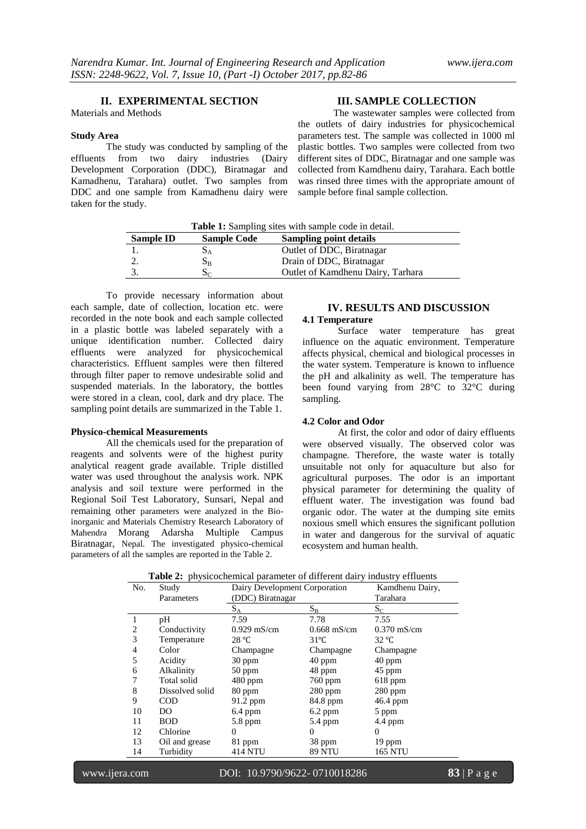## **II. EXPERIMENTAL SECTION**

Materials and Methods

#### **Study Area**

The study was conducted by sampling of the<br>from two dairy industries (Dairy effluents from two dairy Development Corporation (DDC), Biratnagar and Kamadhenu, Tarahara) outlet. Two samples from DDC and one sample from Kamadhenu dairy were taken for the study.

# **III. SAMPLE COLLECTION**

The wastewater samples were collected from the outlets of dairy industries for physicochemical parameters test. The sample was collected in 1000 ml plastic bottles. Two samples were collected from two different sites of DDC, Biratnagar and one sample was collected from Kamdhenu dairy, Tarahara. Each bottle was rinsed three times with the appropriate amount of sample before final sample collection.

**Table 1:** Sampling sites with sample code in detail.

| Sample ID | <b>Sample Code</b> | <b>Sampling point details</b>     |
|-----------|--------------------|-----------------------------------|
|           |                    | Outlet of DDC, Biratnagar         |
|           | Dв                 | Drain of DDC, Biratnagar          |
|           |                    | Outlet of Kamdhenu Dairy, Tarhara |

To provide necessary information about each sample, date of collection, location etc. were recorded in the note book and each sample collected in a plastic bottle was labeled separately with a unique identification number. Collected dairy effluents were analyzed for physicochemical characteristics. Effluent samples were then filtered through filter paper to remove undesirable solid and suspended materials. In the laboratory, the bottles were stored in a clean, cool, dark and dry place. The sampling point details are summarized in the Table 1.

# **Physico-chemical Measurements**

All the chemicals used for the preparation of reagents and solvents were of the highest purity analytical reagent grade available. Triple distilled water was used throughout the analysis work. NPK analysis and soil texture were performed in the Regional Soil Test Laboratory, Sunsari, Nepal and remaining other parameters were analyzed in the Bioinorganic and Materials Chemistry Research Laboratory of Mahendra Morang Adarsha Multiple Campus Biratnagar, Nepal. The investigated physico-chemical parameters of all the samples are reported in the Table 2.

## **IV. RESULTS AND DISCUSSION 4.1 Temperature**

Surface water temperature has great influence on the aquatic environment. Temperature affects physical, chemical and biological processes in the water system. Temperature is known to influence the pH and alkalinity as well. The temperature has been found varying from 28°C to 32°C during sampling.

#### **4.2 Color and Odor**

At first, the color and odor of dairy effluents were observed visually. The observed color was champagne. Therefore, the waste water is totally unsuitable not only for aquaculture but also for agricultural purposes. The odor is an important physical parameter for determining the quality of effluent water. The investigation was found bad organic odor. The water at the dumping site emits noxious smell which ensures the significant pollution in water and dangerous for the survival of aquatic ecosystem and human health.

|  |  |  | <b>Table 2:</b> physicochemical parameter of different dairy industry effluents |  |
|--|--|--|---------------------------------------------------------------------------------|--|
|--|--|--|---------------------------------------------------------------------------------|--|

| No.<br>Study   |                 | Dairy Development Corporation |                | Kamdhenu Dairy, |
|----------------|-----------------|-------------------------------|----------------|-----------------|
|                | Parameters      | (DDC) Biratnagar              |                |                 |
|                |                 | $S_A$                         | $S_B$          | $S_{C}$         |
| 1              | pH              | 7.59                          | 7.78           | 7.55            |
| 2              | Conductivity    | $0.929$ mS/cm                 | $0.668$ mS/cm  | $0.370$ mS/cm   |
| 3              | Temperature     | 28 °C                         | $31^{\circ}$ C | $32^{\circ}C$   |
| $\overline{4}$ | Color           | Champagne                     | Champagne      | Champagne       |
| 5              | Acidity         | 30 ppm                        | 40 ppm         | 40 ppm          |
| 6              | Alkalinity      | 50 ppm                        | 48 ppm         | 45 ppm          |
| 7              | Total solid     | $480$ ppm                     | 760 ppm        | $618$ ppm       |
| 8              | Dissolved solid | 80 ppm                        | $280$ ppm      | 280 ppm         |
| 9              | <b>COD</b>      | 91.2 ppm                      | 84.8 ppm       | 46.4 ppm        |
| 10             | DO              | $6.4$ ppm                     | 6.2 ppm        | 5 ppm           |
| 11             | <b>BOD</b>      | 5.8 ppm                       | $5.4$ ppm      | 4.4 ppm         |
| 12             | Chlorine        | 0                             | 0              | 0               |
| 13             | Oil and grease  | 81 ppm                        | 38 ppm         | 19 ppm          |
| 14             | Turbidity       | 414 NTU                       | <b>89 NTU</b>  | <b>165 NTU</b>  |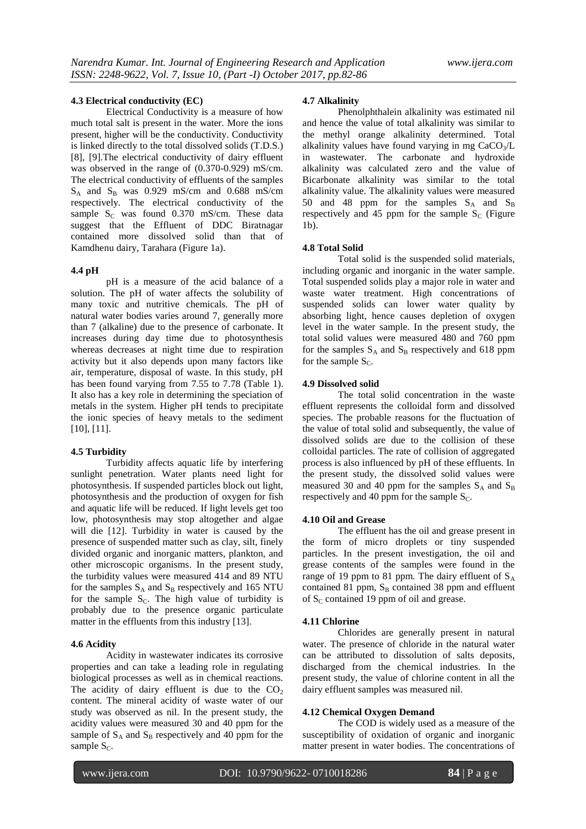#### **4.3 Electrical conductivity (EC)**

Electrical Conductivity is a measure of how much total salt is present in the water. More the ions present, higher will be the conductivity. Conductivity is linked directly to the total dissolved solids (T.D.S.) [8], [9].The electrical conductivity of dairy effluent was observed in the range of (0.370-0.929) mS/cm. The electrical conductivity of effluents of the samples  $S_A$  and  $S_B$  was 0.929 mS/cm and 0.688 mS/cm respectively. The electrical conductivity of the sample  $S_c$  was found 0.370 mS/cm. These data suggest that the Effluent of DDC Biratnagar contained more dissolved solid than that of Kamdhenu dairy, Tarahara (Figure 1a).

#### **4.4 pH**

pH is a measure of the acid balance of a solution. The pH of water affects the solubility of many toxic and nutritive chemicals. The pH of natural water bodies varies around 7, generally more than 7 (alkaline) due to the presence of carbonate. It increases during day time due to photosynthesis whereas decreases at night time due to respiration activity but it also depends upon many factors like air, temperature, disposal of waste. In this study, pH has been found varying from 7.55 to 7.78 (Table 1). It also has a key role in determining the speciation of metals in the system. Higher pH tends to precipitate the ionic species of heavy metals to the sediment [10], [11].

#### **4.5 Turbidity**

Turbidity affects aquatic life by interfering sunlight penetration. Water plants need light for photosynthesis. If suspended particles block out light, photosynthesis and the production of oxygen for fish and aquatic life will be reduced. If light levels get too low, photosynthesis may stop altogether and algae will die [12]. Turbidity in water is caused by the presence of suspended matter such as clay, silt, finely divided organic and inorganic matters, plankton, and other microscopic organisms. In the present study, the turbidity values were measured 414 and 89 NTU for the samples  $S_A$  and  $S_B$  respectively and 165 NTU for the sample  $S_C$ . The high value of turbidity is probably due to the presence organic particulate matter in the effluents from this industry [13].

#### **4.6 Acidity**

Acidity in wastewater indicates its corrosive properties and can take a leading role in regulating biological processes as well as in chemical reactions. The acidity of dairy effluent is due to the  $CO<sub>2</sub>$ content. The mineral acidity of waste water of our study was observed as nil. In the present study, the acidity values were measured 30 and 40 ppm for the sample of  $S_A$  and  $S_B$  respectively and 40 ppm for the sample  $S_C$ .

#### **4.7 Alkalinity**

Phenolphthalein alkalinity was estimated nil and hence the value of total alkalinity was similar to the methyl orange alkalinity determined. Total alkalinity values have found varying in mg  $CaCO<sub>3</sub>/L$ in wastewater. The carbonate and hydroxide alkalinity was calculated zero and the value of Bicarbonate alkalinity was similar to the total alkalinity value. The alkalinity values were measured 50 and 48 ppm for the samples  $S_A$  and  $S_B$ respectively and 45 ppm for the sample  $S_C$  (Figure 1b).

#### **4.8 Total Solid**

Total solid is the suspended solid materials, including organic and inorganic in the water sample. Total suspended solids play a major role in water and waste water treatment. High concentrations of suspended solids can lower water quality by absorbing light, hence causes depletion of oxygen level in the water sample. In the present study, the total solid values were measured 480 and 760 ppm for the samples  $S_A$  and  $S_B$  respectively and 618 ppm for the sample  $S_C$ .

#### **4.9 Dissolved solid**

The total solid concentration in the waste effluent represents the colloidal form and dissolved species. The probable reasons for the fluctuation of the value of total solid and subsequently, the value of dissolved solids are due to the collision of these colloidal particles. The rate of collision of aggregated process is also influenced by pH of these effluents. In the present study, the dissolved solid values were measured 30 and 40 ppm for the samples  $S_A$  and  $S_B$ respectively and 40 ppm for the sample  $S_C$ .

#### **4.10 Oil and Grease**

The effluent has the oil and grease present in the form of micro droplets or tiny suspended particles. In the present investigation, the oil and grease contents of the samples were found in the range of 19 ppm to 81 ppm. The dairy effluent of  $S_A$ contained 81 ppm,  $S_B$  contained 38 ppm and effluent of  $S_c$  contained 19 ppm of oil and grease.

## **4.11 Chlorine**

Chlorides are generally present in natural water. The presence of chloride in the natural water can be attributed to dissolution of salts deposits, discharged from the chemical industries. In the present study, the value of chlorine content in all the dairy effluent samples was measured nil.

#### **4.12 Chemical Oxygen Demand**

The COD is widely used as a measure of the susceptibility of oxidation of organic and inorganic matter present in water bodies. The concentrations of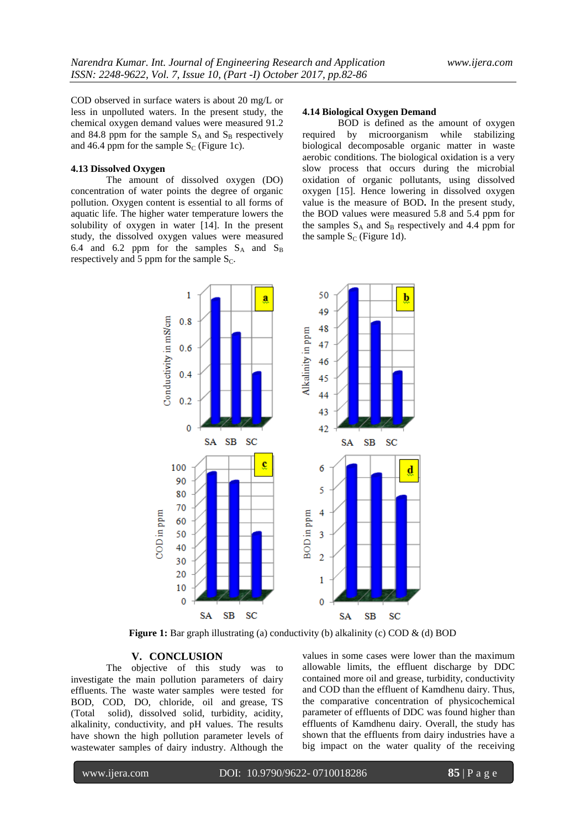COD observed in surface waters is about 20 mg/L or less in unpolluted waters. In the present study, the chemical oxygen demand values were measured 91.2 and 84.8 ppm for the sample  $S_A$  and  $S_B$  respectively and 46.4 ppm for the sample  $S_C$  (Figure 1c).

## **4.13 Dissolved Oxygen**

The amount of dissolved oxygen (DO) concentration of water points the degree of organic pollution. Oxygen content is essential to all forms of aquatic life. The higher water temperature lowers the solubility of oxygen in water [14]. In the present study, the dissolved oxygen values were measured 6.4 and 6.2 ppm for the samples  $S_A$  and  $S_B$ respectively and 5 ppm for the sample  $S_C$ .

# **4.14 Biological Oxygen Demand**

BOD is defined as the amount of oxygen required by microorganism while stabilizing biological decomposable organic matter in waste aerobic conditions. The biological oxidation is a very slow process that occurs during the microbial oxidation of organic pollutants, using dissolved oxygen [15]. Hence lowering in dissolved oxygen value is the measure of BOD**.** In the present study, the BOD values were measured 5.8 and 5.4 ppm for the samples  $S_A$  and  $S_B$  respectively and 4.4 ppm for the sample  $S_C$  (Figure 1d).



**Figure 1:** Bar graph illustrating (a) conductivity (b) alkalinity (c) COD & (d) BOD

#### **V. CONCLUSION**

The objective of this study was to investigate the main pollution parameters of dairy effluents. The waste water samples were tested for BOD, COD, DO, chloride, oil and grease, TS (Total solid), dissolved solid, turbidity, acidity, alkalinity, conductivity, and pH values. The results have shown the high pollution parameter levels of wastewater samples of dairy industry. Although the

values in some cases were lower than the maximum allowable limits, the effluent discharge by DDC contained more oil and grease, turbidity, conductivity and COD than the effluent of Kamdhenu dairy. Thus, the comparative concentration of physicochemical parameter of effluents of DDC was found higher than effluents of Kamdhenu dairy. Overall, the study has shown that the effluents from dairy industries have a big impact on the water quality of the receiving